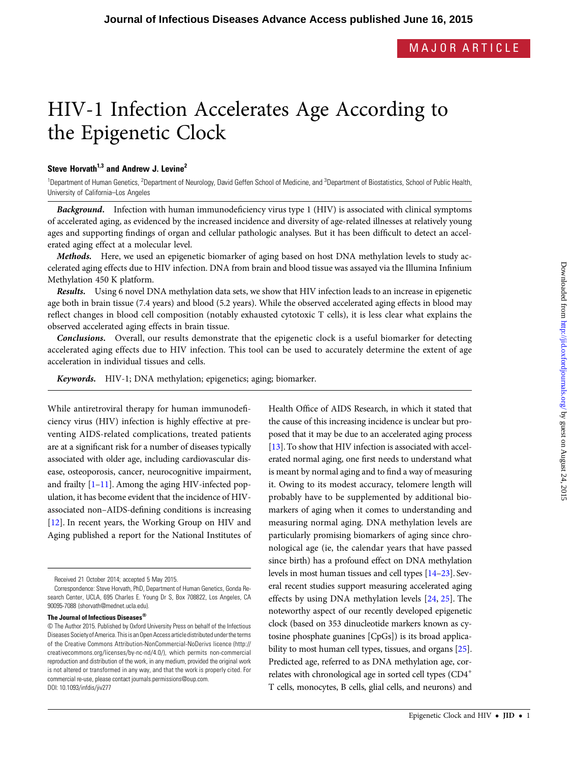## MAJOR ARTICLE

# HIV-1 Infection Accelerates Age According to the Epigenetic Clock

#### Steve Horvath<sup>1,3</sup> and Andrew J. Levine<sup>2</sup>

<sup>1</sup>Department of Human Genetics, <sup>2</sup>Department of Neurology, David Geffen School of Medicine, and <sup>3</sup>Department of Biostatistics, School of Public Health, University of California–Los Angeles

Background. Infection with human immunodeficiency virus type 1 (HIV) is associated with clinical symptoms of accelerated aging, as evidenced by the increased incidence and diversity of age-related illnesses at relatively young ages and supporting findings of organ and cellular pathologic analyses. But it has been difficult to detect an accelerated aging effect at a molecular level.

Methods. Here, we used an epigenetic biomarker of aging based on host DNA methylation levels to study accelerated aging effects due to HIV infection. DNA from brain and blood tissue was assayed via the Illumina Infinium Methylation 450 K platform.

Results. Using 6 novel DNA methylation data sets, we show that HIV infection leads to an increase in epigenetic age both in brain tissue (7.4 years) and blood (5.2 years). While the observed accelerated aging effects in blood may reflect changes in blood cell composition (notably exhausted cytotoxic T cells), it is less clear what explains the observed accelerated aging effects in brain tissue.

**Conclusions.** Overall, our results demonstrate that the epigenetic clock is a useful biomarker for detecting accelerated aging effects due to HIV infection. This tool can be used to accurately determine the extent of age acceleration in individual tissues and cells.

Keywords. HIV-1; DNA methylation; epigenetics; aging; biomarker.

While antiretroviral therapy for human immunodeficiency virus (HIV) infection is highly effective at preventing AIDS-related complications, treated patients are at a significant risk for a number of diseases typically associated with older age, including cardiovascular disease, osteoporosis, cancer, neurocognitive impairment, and frailty  $[1-11]$  $[1-11]$  $[1-11]$  $[1-11]$ . Among the aging HIV-infected population, it has become evident that the incidence of HIVassociated non–AIDS-defining conditions is increasing [\[12](#page-9-0)]. In recent years, the Working Group on HIV and Aging published a report for the National Institutes of

#### The Journal of Infectious Diseases®

Health Office of AIDS Research, in which it stated that the cause of this increasing incidence is unclear but proposed that it may be due to an accelerated aging process [\[13](#page-9-0)]. To show that HIV infection is associated with accelerated normal aging, one first needs to understand what is meant by normal aging and to find a way of measuring it. Owing to its modest accuracy, telomere length will probably have to be supplemented by additional biomarkers of aging when it comes to understanding and measuring normal aging. DNA methylation levels are particularly promising biomarkers of aging since chronological age (ie, the calendar years that have passed since birth) has a profound effect on DNA methylation levels in most human tissues and cell types [[14](#page-9-0)–[23](#page-10-0)]. Several recent studies support measuring accelerated aging effects by using DNA methylation levels [\[24](#page-10-0), [25](#page-10-0)]. The noteworthy aspect of our recently developed epigenetic clock (based on 353 dinucleotide markers known as cytosine phosphate guanines [CpGs]) is its broad applicability to most human cell types, tissues, and organs [[25\]](#page-10-0). Predicted age, referred to as DNA methylation age, correlates with chronological age in sorted cell types (CD4+ T cells, monocytes, B cells, glial cells, and neurons) and

Received 21 October 2014; accepted 5 May 2015.

Correspondence: Steve Horvath, PhD, Department of Human Genetics, Gonda Research Center, UCLA, 695 Charles E. Young Dr S, Box 708822, Los Angeles, CA 90095-7088 [\(shorvath@mednet.ucla.edu](mailto:shorvath@mednet.ucla.edu)).

<sup>©</sup> The Author 2015. Published by Oxford University Press on behalf of the Infectious Diseases Societyof America. This is an Open Access article distributed undertheterms of the Creative Commons Attribution-NonCommercial-NoDerivs licence ([http://](http://creativecommons.org/licenses/by-nc-nd/4.0/) [creativecommons.org/licenses/by-nc-nd/4.0/\)](http://creativecommons.org/licenses/by-nc-nd/4.0/), which permits non-commercial reproduction and distribution of the work, in any medium, provided the original work is not altered or transformed in any way, and that the work is properly cited. For commercial re-use, please contact [journals.permissions@oup.com](mailto:journals.permissions@oup.com). DOI: 10.1093/infdis/jiv277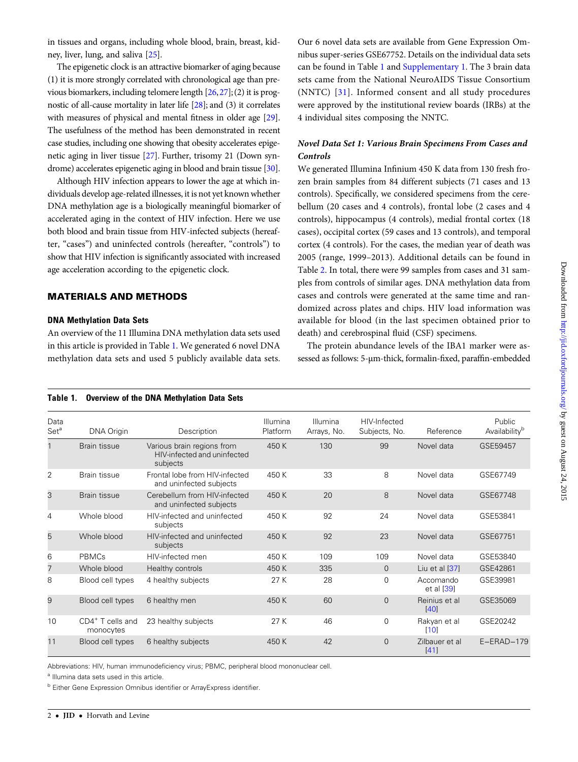in tissues and organs, including whole blood, brain, breast, kidney, liver, lung, and saliva [\[25](#page-10-0)].

The epigenetic clock is an attractive biomarker of aging because (1) it is more strongly correlated with chronological age than previous biomarkers, including telomere length [[26](#page-10-0),[27](#page-10-0)]; (2) it is prognostic of all-cause mortality in later life [[28](#page-10-0)]; and (3) it correlates with measures of physical and mental fitness in older age [[29\]](#page-10-0). The usefulness of the method has been demonstrated in recent case studies, including one showing that obesity accelerates epigenetic aging in liver tissue [[27\]](#page-10-0). Further, trisomy 21 (Down syndrome) accelerates epigenetic aging in blood and brain tissue [\[30\]](#page-10-0).

Although HIV infection appears to lower the age at which individuals develop age-related illnesses, it is not yet known whether DNA methylation age is a biologically meaningful biomarker of accelerated aging in the context of HIV infection. Here we use both blood and brain tissue from HIV-infected subjects (hereafter, "cases") and uninfected controls (hereafter, "controls") to show that HIV infection is significantly associated with increased age acceleration according to the epigenetic clock.

#### MATERIALS AND METHODS

#### DNA Methylation Data Sets

An overview of the 11 Illumina DNA methylation data sets used in this article is provided in Table 1. We generated 6 novel DNA methylation data sets and used 5 publicly available data sets.

Our 6 novel data sets are available from Gene Expression Omnibus super-series GSE67752. Details on the individual data sets can be found in Table 1 and [Supplementary 1](http://jid.oxfordjournals.org/lookup/suppl/doi:10.1093/infdis/jiv277/-/DC1). The 3 brain data sets came from the National NeuroAIDS Tissue Consortium (NNTC) [\[31\]](#page-10-0). Informed consent and all study procedures were approved by the institutional review boards (IRBs) at the 4 individual sites composing the NNTC.

#### Novel Data Set 1: Various Brain Specimens From Cases and Controls

We generated Illumina Infinium 450 K data from 130 fresh frozen brain samples from 84 different subjects (71 cases and 13 controls). Specifically, we considered specimens from the cerebellum (20 cases and 4 controls), frontal lobe (2 cases and 4 controls), hippocampus (4 controls), medial frontal cortex (18 cases), occipital cortex (59 cases and 13 controls), and temporal cortex (4 controls). For the cases, the median year of death was 2005 (range, 1999–2013). Additional details can be found in Table [2.](#page-2-0) In total, there were 99 samples from cases and 31 samples from controls of similar ages. DNA methylation data from cases and controls were generated at the same time and randomized across plates and chips. HIV load information was available for blood (in the last specimen obtained prior to death) and cerebrospinal fluid (CSF) specimens.

The protein abundance levels of the IBA1 marker were assessed as follows: 5-um-thick, formalin-fixed, paraffin-embedded

#### Table 1. Overview of the DNA Methylation Data Sets

| Data<br>Set <sup>a</sup> | DNA Origin                                | Description                                                           | Illumina<br>Platform | Illumina<br>Arrays, No. | HIV-Infected<br>Subjects, No. | Reference               | Public<br>Availability <sup>b</sup> |
|--------------------------|-------------------------------------------|-----------------------------------------------------------------------|----------------------|-------------------------|-------------------------------|-------------------------|-------------------------------------|
| $\mathbf{1}$             | Brain tissue                              | Various brain regions from<br>HIV-infected and uninfected<br>subjects | 450 K                | 130                     | 99                            | Novel data              | GSE59457                            |
| 2                        | Brain tissue                              | Frontal Jobe from HIV-infected<br>and uninfected subjects             | 450K                 | 33                      | 8                             | Novel data              | GSE67749                            |
| 3                        | Brain tissue                              | Cerebellum from HIV-infected<br>and uninfected subjects               | 450 K                | 20                      | 8                             | Novel data              | GSE67748                            |
| 4                        | Whole blood                               | HIV-infected and uninfected<br>subjects                               | 450 K                | 92                      | 24                            | Novel data              | GSE53841                            |
| 5                        | Whole blood                               | HIV-infected and uninfected<br>subjects                               | 450 K                | 92                      | 23                            | Novel data              | GSE67751                            |
| 6                        | PBMCs                                     | HIV-infected men                                                      | 450 K                | 109                     | 109                           | Novel data              | GSE53840                            |
| 7                        | Whole blood                               | Healthy controls                                                      | 450 K                | 335                     | $\overline{0}$                | Liu et al $[37]$        | GSE42861                            |
| 8                        | Blood cell types                          | 4 healthy subjects                                                    | 27 K                 | 28                      | $\Omega$                      | Accomando<br>et al [39] | GSE39981                            |
| 9                        | Blood cell types                          | 6 healthy men                                                         | 450K                 | 60                      | $\Omega$                      | Reinius et al<br>[40]   | GSE35069                            |
| 10                       | CD4 <sup>+</sup> T cells and<br>monocytes | 23 healthy subjects                                                   | 27 K                 | 46                      | $\mathbf 0$                   | Rakyan et al<br>[10]    | GSE20242                            |
| 11                       | Blood cell types                          | 6 healthy subjects                                                    | 450 K                | 42                      | $\Omega$                      | Zilbauer et al<br>[41]  | $E-ERAD-179$                        |

Abbreviations: HIV, human immunodeficiency virus; PBMC, peripheral blood mononuclear cell.

a Illumina data sets used in this article.

<sup>b</sup> Either Gene Expression Omnibus identifier or ArrayExpress identifier.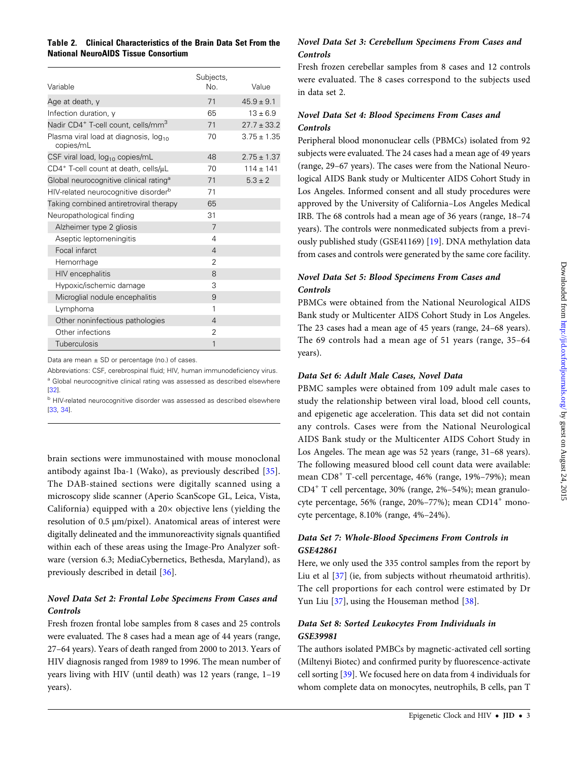#### <span id="page-2-0"></span>Table 2. Clinical Characteristics of the Brain Data Set From the National NeuroAIDS Tissue Consortium

| Variable                                                       | Subjects,<br>No. | Value           |
|----------------------------------------------------------------|------------------|-----------------|
| Age at death, y                                                | 71               | $45.9 \pm 9.1$  |
| Infection duration, y                                          | 65               | $13 \pm 6.9$    |
| Nadir CD4 <sup>+</sup> T-cell count, cells/mm <sup>3</sup>     | 71               | $27.7 \pm 33.2$ |
| Plasma viral load at diagnosis, log <sub>10</sub><br>copies/mL | 70               | $3.75 \pm 1.35$ |
| CSF viral load, $log_{10}$ copies/mL                           | 48               | $2.75 \pm 1.37$ |
| CD4 <sup>+</sup> T-cell count at death, cells/uL               | 70               | $114 + 141$     |
| Global neurocognitive clinical rating <sup>a</sup>             | 71               | $5.3 \pm 2$     |
| HIV-related neurocognitive disorder <sup>b</sup>               | 71               |                 |
| Taking combined antiretroviral therapy                         | 65               |                 |
| Neuropathological finding                                      | 31               |                 |
| Alzheimer type 2 gliosis                                       | 7                |                 |
| Aseptic leptomeningitis                                        | 4                |                 |
| Focal infarct                                                  | $\overline{4}$   |                 |
| Hemorrhage                                                     | 2                |                 |
| HIV encephalitis                                               | 8                |                 |
| Hypoxic/ischemic damage                                        | 3                |                 |
| Microglial nodule encephalitis                                 | 9                |                 |
| Lymphoma                                                       | 1                |                 |
| Other noninfectious pathologies                                | 4                |                 |
| Other infections                                               | 2                |                 |
| Tuberculosis                                                   | 1                |                 |

Data are mean  $\pm$  SD or percentage (no.) of cases.

Abbreviations: CSF, cerebrospinal fluid; HIV, human immunodeficiency virus. <sup>a</sup> Global neurocognitive clinical rating was assessed as described elsewhere [[32\]](#page-10-0).

 $<sup>b</sup>$  HIV-related neurocognitive disorder was assessed as described elsewhere</sup> [[33,](#page-10-0) [34](#page-10-0)].

brain sections were immunostained with mouse monoclonal antibody against Iba-1 (Wako), as previously described [\[35](#page-10-0)]. The DAB-stained sections were digitally scanned using a microscopy slide scanner (Aperio ScanScope GL, Leica, Vista, California) equipped with a  $20 \times$  objective lens (yielding the resolution of 0.5 µm/pixel). Anatomical areas of interest were digitally delineated and the immunoreactivity signals quantified within each of these areas using the Image-Pro Analyzer software (version 6.3; MediaCybernetics, Bethesda, Maryland), as previously described in detail [[36](#page-10-0)].

## Novel Data Set 2: Frontal Lobe Specimens From Cases and **Controls**

Fresh frozen frontal lobe samples from 8 cases and 25 controls were evaluated. The 8 cases had a mean age of 44 years (range, 27–64 years). Years of death ranged from 2000 to 2013. Years of HIV diagnosis ranged from 1989 to 1996. The mean number of years living with HIV (until death) was 12 years (range, 1–19 years).

## Novel Data Set 3: Cerebellum Specimens From Cases and **Controls**

Fresh frozen cerebellar samples from 8 cases and 12 controls were evaluated. The 8 cases correspond to the subjects used in data set 2.

## Novel Data Set 4: Blood Specimens From Cases and **Controls**

Peripheral blood mononuclear cells (PBMCs) isolated from 92 subjects were evaluated. The 24 cases had a mean age of 49 years (range, 29–67 years). The cases were from the National Neurological AIDS Bank study or Multicenter AIDS Cohort Study in Los Angeles. Informed consent and all study procedures were approved by the University of California–Los Angeles Medical IRB. The 68 controls had a mean age of 36 years (range, 18–74 years). The controls were nonmedicated subjects from a previously published study (GSE41169) [[19\]](#page-9-0). DNA methylation data from cases and controls were generated by the same core facility.

## Novel Data Set 5: Blood Specimens From Cases and **Controls**

PBMCs were obtained from the National Neurological AIDS Bank study or Multicenter AIDS Cohort Study in Los Angeles. The 23 cases had a mean age of 45 years (range, 24–68 years). The 69 controls had a mean age of 51 years (range, 35–64 years).

#### Data Set 6: Adult Male Cases, Novel Data

PBMC samples were obtained from 109 adult male cases to study the relationship between viral load, blood cell counts, and epigenetic age acceleration. This data set did not contain any controls. Cases were from the National Neurological AIDS Bank study or the Multicenter AIDS Cohort Study in Los Angeles. The mean age was 52 years (range, 31–68 years). The following measured blood cell count data were available: mean CD8<sup>+</sup> T-cell percentage, 46% (range, 19%–79%); mean CD4<sup>+</sup> T cell percentage, 30% (range, 2%–54%); mean granulocyte percentage, 56% (range,  $20\% - 77\%$ ); mean CD14<sup>+</sup> monocyte percentage, 8.10% (range, 4%–24%).

## Data Set 7: Whole-Blood Specimens From Controls in GSE42861

Here, we only used the 335 control samples from the report by Liu et al [\[37\]](#page-10-0) (ie, from subjects without rheumatoid arthritis). The cell proportions for each control were estimated by Dr Yun Liu [\[37\]](#page-10-0), using the Houseman method [[38\]](#page-10-0).

## Data Set 8: Sorted Leukocytes From Individuals in GSE39981

The authors isolated PMBCs by magnetic-activated cell sorting (Miltenyi Biotec) and confirmed purity by fluorescence-activate cell sorting [[39\]](#page-10-0). We focused here on data from 4 individuals for whom complete data on monocytes, neutrophils, B cells, pan T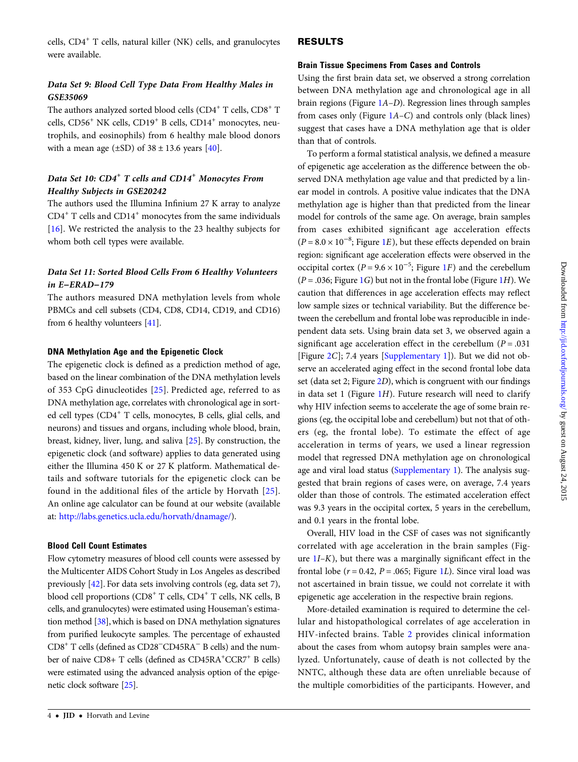cells, CD4<sup>+</sup> T cells, natural killer (NK) cells, and granulocytes were available.

## Data Set 9: Blood Cell Type Data From Healthy Males in GSE35069

The authors analyzed sorted blood cells  $(CD4^+ T \text{ cells}, CD8^+ T$ cells, CD56<sup>+</sup> NK cells, CD19<sup>+</sup> B cells, CD14<sup>+</sup> monocytes, neutrophils, and eosinophils) from 6 healthy male blood donors with a mean age  $(\pm SD)$  of 38  $\pm$  13.6 years [[40\]](#page-10-0).

## Data Set 10: CD4<sup>+</sup> T cells and CD14<sup>+</sup> Monocytes From Healthy Subjects in GSE20242

The authors used the Illumina Infinium 27 K array to analyze  $\text{CD4}^+$  T cells and  $\text{CD14}^+$  monocytes from the same individuals [\[16\]](#page-9-0). We restricted the analysis to the 23 healthy subjects for whom both cell types were available.

#### Data Set 11: Sorted Blood Cells From 6 Healthy Volunteers in E−ERAD−179

The authors measured DNA methylation levels from whole PBMCs and cell subsets (CD4, CD8, CD14, CD19, and CD16) from 6 healthy volunteers [\[41](#page-10-0)].

#### DNA Methylation Age and the Epigenetic Clock

The epigenetic clock is defined as a prediction method of age, based on the linear combination of the DNA methylation levels of 353 CpG dinucleotides [\[25\]](#page-10-0). Predicted age, referred to as DNA methylation age, correlates with chronological age in sorted cell types (CD4<sup>+</sup> T cells, monocytes, B cells, glial cells, and neurons) and tissues and organs, including whole blood, brain, breast, kidney, liver, lung, and saliva [[25](#page-10-0)]. By construction, the epigenetic clock (and software) applies to data generated using either the Illumina 450 K or 27 K platform. Mathematical details and software tutorials for the epigenetic clock can be found in the additional files of the article by Horvath [[25](#page-10-0)]. An online age calculator can be found at our website (available at: [http://labs.genetics.ucla.edu/horvath/dnamage/\)](http://labs.genetics.ucla.edu/horvath/dnamage/).

#### Blood Cell Count Estimates

Flow cytometry measures of blood cell counts were assessed by the Multicenter AIDS Cohort Study in Los Angeles as described previously [[42\]](#page-10-0). For data sets involving controls (eg, data set 7), blood cell proportions (CD8<sup>+</sup> T cells, CD4<sup>+</sup> T cells, NK cells, B cells, and granulocytes) were estimated using Houseman's estimation method [[38\]](#page-10-0), which is based on DNA methylation signatures from purified leukocyte samples. The percentage of exhausted CD8+ T cells (defined as CD28<sup>−</sup> CD45RA<sup>−</sup> B cells) and the number of naive CD8+ T cells (defined as CD45RA<sup>+</sup>CCR7<sup>+</sup> B cells) were estimated using the advanced analysis option of the epigenetic clock software [[25\]](#page-10-0).

#### RESULTS

#### Brain Tissue Specimens From Cases and Controls

Using the first brain data set, we observed a strong correlation between DNA methylation age and chronological age in all brain regions (Figure  $1A-D$  $1A-D$ ). Regression lines through samples from cases only (Figure [1](#page-4-0)A–C) and controls only (black lines) suggest that cases have a DNA methylation age that is older than that of controls.

To perform a formal statistical analysis, we defined a measure of epigenetic age acceleration as the difference between the observed DNA methylation age value and that predicted by a linear model in controls. A positive value indicates that the DNA methylation age is higher than that predicted from the linear model for controls of the same age. On average, brain samples from cases exhibited significant age acceleration effects  $(P = 8.0 \times 10^{-8}$  $(P = 8.0 \times 10^{-8}$  $(P = 8.0 \times 10^{-8}$ ; Figure 1*E*), but these effects depended on brain region: significant age acceleration effects were observed in the occipital cortex ( $P = 9.6 \times 10^{-5}$  $P = 9.6 \times 10^{-5}$  $P = 9.6 \times 10^{-5}$ ; Figure 1*F*) and the cerebellum  $(P = .036;$  Figure [1](#page-4-0)G) but not in the frontal lobe (Figure 1H). We caution that differences in age acceleration effects may reflect low sample sizes or technical variability. But the difference between the cerebellum and frontal lobe was reproducible in independent data sets. Using brain data set 3, we observed again a significant age acceleration effect in the cerebellum  $(P = .031)$ [Figure [2](#page-5-0)C]; 7.4 years [\[Supplementary 1\]](http://jid.oxfordjournals.org/lookup/suppl/doi:10.1093/infdis/jiv277/-/DC1)). But we did not observe an accelerated aging effect in the second frontal lobe data set (data set 2; Figure [2](#page-5-0)D), which is congruent with our findings in data set [1](#page-4-0) (Figure  $1H$ ). Future research will need to clarify why HIV infection seems to accelerate the age of some brain regions (eg, the occipital lobe and cerebellum) but not that of others (eg, the frontal lobe). To estimate the effect of age acceleration in terms of years, we used a linear regression model that regressed DNA methylation age on chronological age and viral load status [\(Supplementary 1](http://jid.oxfordjournals.org/lookup/suppl/doi:10.1093/infdis/jiv277/-/DC1)). The analysis suggested that brain regions of cases were, on average, 7.4 years older than those of controls. The estimated acceleration effect was 9.3 years in the occipital cortex, 5 years in the cerebellum, and 0.1 years in the frontal lobe.

Overall, HIV load in the CSF of cases was not significantly correlated with age acceleration in the brain samples (Figure  $1I-K$  $1I-K$ ), but there was a marginally significant effect in the frontal lobe ( $r = 0.42$ ,  $P = .065$ ; Figure [1](#page-4-0)L). Since viral load was not ascertained in brain tissue, we could not correlate it with epigenetic age acceleration in the respective brain regions.

More-detailed examination is required to determine the cellular and histopathological correlates of age acceleration in HIV-infected brains. Table [2](#page-2-0) provides clinical information about the cases from whom autopsy brain samples were analyzed. Unfortunately, cause of death is not collected by the NNTC, although these data are often unreliable because of the multiple comorbidities of the participants. However, and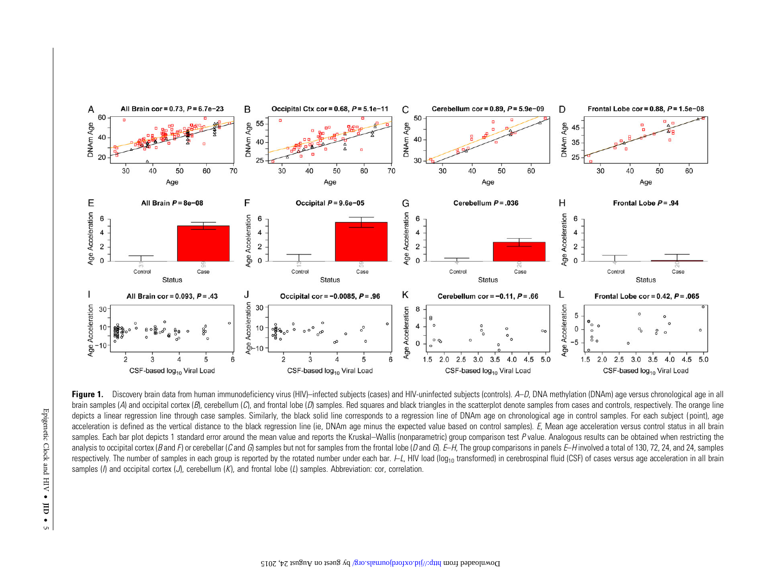<span id="page-4-0"></span>

Figure 1. Discovery brain data from human immunodeficiency virus (HIV)–infected subjects (cases) and HIV-uninfected subjects (controls). A–D, DNA methylation (DNAm) age versus chronological age in all brain samples (A) and occipital cortex (B), cerebellum (C), and frontal lobe (D) samples. Red squares and black triangles in the scatterplot denote samples from cases and controls, respectively. The orange line depicts a linear regression line through case samples. Similarly, the black solid line corresponds to a regression line of DNAm age on chronological age in control samples. For each subject (point), age acceleration is defined as the vertical distance to the black regression line (ie, DNAm age minus the expected value based on control samples). E, Mean age acceleration versus control status in all brain samples. Each bar plot depicts 1 standard error around the mean value and reports the Kruskal–Wallis (nonparametric) group comparison test P value. Analogous results can be obtained when restricting the analysis to occipital cortex (B and F) or cerebellar (C and G) samples but not for samples from the frontal lobe (D and G). E–H, The group comparisons in panels E–H involved a total of 130, 72, 24, and 24, samples respectively. The number of samples in each group is reported by the rotated number under each bar. I–L, HIV load (log<sub>10</sub> transformed) in cerebrospinal fluid (CSF) of cases versus age acceleration in all brain samples ( $I$ ) and occipital cortex ( $J$ ), cerebellum ( $K$ ), and frontal lobe ( $L$ ) samples. Abbreviation: cor, correlation.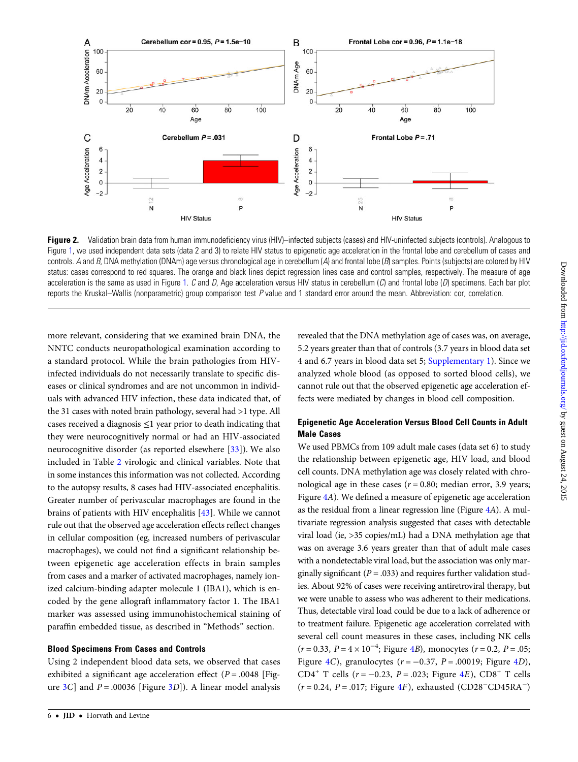<span id="page-5-0"></span>

Figure 2. Validation brain data from human immunodeficiency virus (HIV)–infected subjects (cases) and HIV-uninfected subjects (controls). Analogous to Figure [1,](#page-4-0) we used independent data sets (data 2 and 3) to relate HIV status to epigenetic age acceleration in the frontal lobe and cerebellum of cases and controls. A and B, DNA methylation (DNAm) age versus chronological age in cerebellum (A) and frontal lobe (B) samples. Points (subjects) are colored by HIV status: cases correspond to red squares. The orange and black lines depict regression lines case and control samples, respectively. The measure of age acceleration is the same as used in Figure [1.](#page-4-0) C and D, Age acceleration versus HIV status in cerebellum  $(C)$  and frontal lobe  $(D)$  specimens. Each bar plot reports the Kruskal–Wallis (nonparametric) group comparison test P value and 1 standard error around the mean. Abbreviation: cor, correlation.

more relevant, considering that we examined brain DNA, the NNTC conducts neuropathological examination according to a standard protocol. While the brain pathologies from HIVinfected individuals do not necessarily translate to specific diseases or clinical syndromes and are not uncommon in individuals with advanced HIV infection, these data indicated that, of the 31 cases with noted brain pathology, several had >1 type. All cases received a diagnosis ≤1 year prior to death indicating that they were neurocognitively normal or had an HIV-associated neurocognitive disorder (as reported elsewhere [[33\]](#page-10-0)). We also included in Table [2](#page-2-0) virologic and clinical variables. Note that in some instances this information was not collected. According to the autopsy results, 8 cases had HIV-associated encephalitis. Greater number of perivascular macrophages are found in the brains of patients with HIV encephalitis [[43\]](#page-10-0). While we cannot rule out that the observed age acceleration effects reflect changes in cellular composition (eg, increased numbers of perivascular macrophages), we could not find a significant relationship between epigenetic age acceleration effects in brain samples from cases and a marker of activated macrophages, namely ionized calcium-binding adapter molecule 1 (IBA1), which is encoded by the gene allograft inflammatory factor 1. The IBA1 marker was assessed using immunohistochemical staining of paraffin embedded tissue, as described in "Methods" section.

#### Blood Specimens From Cases and Controls

Using 2 independent blood data sets, we observed that cases exhibited a significant age acceleration effect  $(P = .0048$  [Figure  $3C$  $3C$  and  $P = .00036$  [Figure  $3D$ ]). A linear model analysis revealed that the DNA methylation age of cases was, on average, 5.2 years greater than that of controls (3.7 years in blood data set 4 and 6.7 years in blood data set 5; [Supplementary 1\)](http://jid.oxfordjournals.org/lookup/suppl/doi:10.1093/infdis/jiv277/-/DC1). Since we analyzed whole blood (as opposed to sorted blood cells), we cannot rule out that the observed epigenetic age acceleration effects were mediated by changes in blood cell composition.

#### Epigenetic Age Acceleration Versus Blood Cell Counts in Adult Male Cases

We used PBMCs from 109 adult male cases (data set 6) to study the relationship between epigenetic age, HIV load, and blood cell counts. DNA methylation age was closely related with chronological age in these cases ( $r = 0.80$ ; median error, 3.9 years; Figure [4](#page-7-0)A). We defined a measure of epigenetic age acceleration as the residual from a linear regression line (Figure [4](#page-7-0)A). A multivariate regression analysis suggested that cases with detectable viral load (ie, >35 copies/mL) had a DNA methylation age that was on average 3.6 years greater than that of adult male cases with a nondetectable viral load, but the association was only marginally significant ( $P = .033$ ) and requires further validation studies. About 92% of cases were receiving antiretroviral therapy, but we were unable to assess who was adherent to their medications. Thus, detectable viral load could be due to a lack of adherence or to treatment failure. Epigenetic age acceleration correlated with several cell count measures in these cases, including NK cells  $(r = 0.33, P = 4 \times 10^{-4};$  $(r = 0.33, P = 4 \times 10^{-4};$  $(r = 0.33, P = 4 \times 10^{-4};$  Figure 4B), monocytes  $(r = 0.2, P = .05;$ Figure [4](#page-7-0)C), granulocytes ( $r = -0.37$ ,  $P = .00019$ ; Figure 4D), CD[4](#page-7-0)<sup>+</sup> T cells ( $r = -0.23$ ,  $P = .023$ ; Figure 4E), CD8<sup>+</sup> T cells  $(r = 0.24, P = .017;$  $(r = 0.24, P = .017;$  $(r = 0.24, P = .017;$  Figure 4F), exhausted (CD28<sup>-</sup>CD45RA<sup>-</sup>)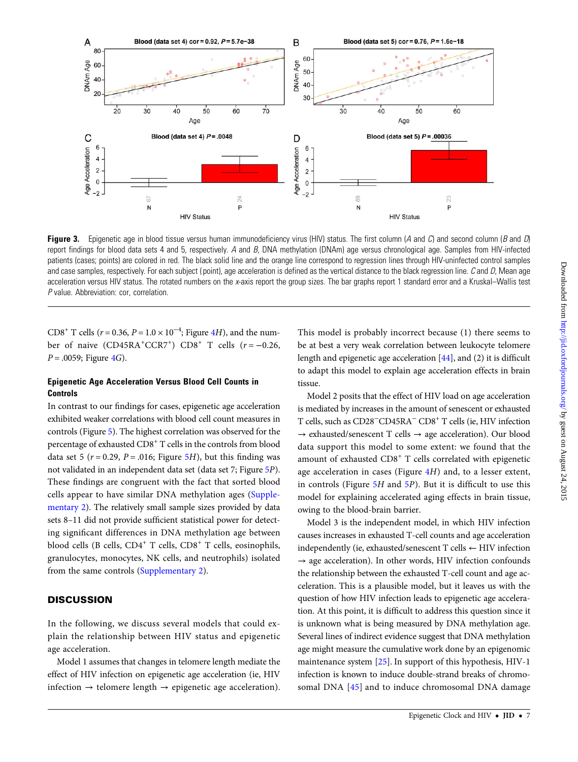<span id="page-6-0"></span>

Figure 3. Epigenetic age in blood tissue versus human immunodeficiency virus (HIV) status. The first column (A and C) and second column (B and D) report findings for blood data sets 4 and 5, respectively. A and B, DNA methylation (DNAm) age versus chronological age. Samples from HIV-infected patients (cases; points) are colored in red. The black solid line and the orange line correspond to regression lines through HIV-uninfected control samples and case samples, respectively. For each subject (point), age acceleration is defined as the vertical distance to the black regression line.  $C$  and  $D$ , Mean age acceleration versus HIV status. The rotated numbers on the x-axis report the group sizes. The bar graphs report 1 standard error and a Kruskal–Wallis test P value. Abbreviation: cor, correlation.

CD8<sup>+</sup> T cells ( $r = 0.36$ ,  $P = 1.0 \times 10^{-4}$  $P = 1.0 \times 10^{-4}$  $P = 1.0 \times 10^{-4}$ ; Figure 4H), and the number of naive  $(CD45RA<sup>+</sup>CCR7<sup>+</sup>)$   $CD8<sup>+</sup>$  T cells  $(r = -0.26,$  $P = .0059$ ; Figure [4](#page-7-0)G).

## Epigenetic Age Acceleration Versus Blood Cell Counts in Controls

In contrast to our findings for cases, epigenetic age acceleration exhibited weaker correlations with blood cell count measures in controls (Figure [5](#page-8-0)). The highest correlation was observed for the percentage of exhausted CD8+ T cells in the controls from blood data set [5](#page-8-0) ( $r = 0.29$ ,  $P = .016$ ; Figure 5H), but this finding was not validated in an independent data set (data set 7; Figure [5](#page-8-0)P). These findings are congruent with the fact that sorted blood cells appear to have similar DNA methylation ages ([Supple](http://jid.oxfordjournals.org/lookup/suppl/doi:10.1093/infdis/jiv277/-/DC1)[mentary 2](http://jid.oxfordjournals.org/lookup/suppl/doi:10.1093/infdis/jiv277/-/DC1)). The relatively small sample sizes provided by data sets 8–11 did not provide sufficient statistical power for detecting significant differences in DNA methylation age between blood cells (B cells, CD4<sup>+</sup> T cells, CD8<sup>+</sup> T cells, eosinophils, granulocytes, monocytes, NK cells, and neutrophils) isolated from the same controls ([Supplementary 2\)](http://jid.oxfordjournals.org/lookup/suppl/doi:10.1093/infdis/jiv277/-/DC1).

#### **DISCUSSION**

In the following, we discuss several models that could explain the relationship between HIV status and epigenetic age acceleration.

Model 1 assumes that changes in telomere length mediate the effect of HIV infection on epigenetic age acceleration (ie, HIV infection  $\rightarrow$  telomere length  $\rightarrow$  epigenetic age acceleration).

This model is probably incorrect because (1) there seems to be at best a very weak correlation between leukocyte telomere length and epigenetic age acceleration [\[44\]](#page-10-0), and (2) it is difficult to adapt this model to explain age acceleration effects in brain tissue.

Model 2 posits that the effect of HIV load on age acceleration is mediated by increases in the amount of senescent or exhausted T cells, such as CD28<sup>-</sup>CD45RA<sup>-</sup> CD8<sup>+</sup> T cells (ie, HIV infection  $\rightarrow$  exhausted/senescent T cells  $\rightarrow$  age acceleration). Our blood data support this model to some extent: we found that the amount of exhausted CD8<sup>+</sup> T cells correlated with epigenetic age acceleration in cases (Figure [4](#page-7-0)H) and, to a lesser extent, in controls (Figure  $5H$  $5H$  and  $5P$ ). But it is difficult to use this model for explaining accelerated aging effects in brain tissue, owing to the blood-brain barrier.

Model 3 is the independent model, in which HIV infection causes increases in exhausted T-cell counts and age acceleration independently (ie, exhausted/senescent  $T$  cells  $\leftarrow$  HIV infection  $\rightarrow$  age acceleration). In other words, HIV infection confounds the relationship between the exhausted T-cell count and age acceleration. This is a plausible model, but it leaves us with the question of how HIV infection leads to epigenetic age acceleration. At this point, it is difficult to address this question since it is unknown what is being measured by DNA methylation age. Several lines of indirect evidence suggest that DNA methylation age might measure the cumulative work done by an epigenomic maintenance system [[25\]](#page-10-0). In support of this hypothesis, HIV-1 infection is known to induce double-strand breaks of chromosomal DNA [[45](#page-10-0)] and to induce chromosomal DNA damage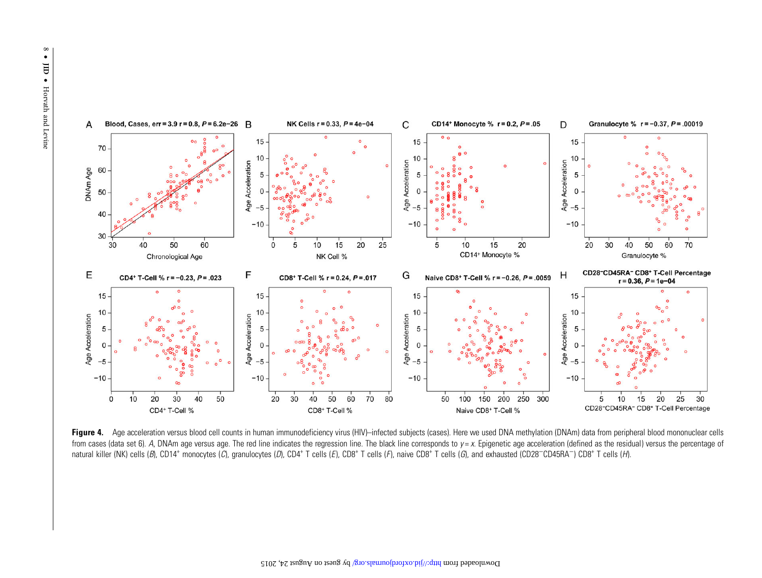<span id="page-7-0"></span>

Figure 4. Age acceleration versus blood cell counts in human immunodeficiency virus (HIV)–infected subjects (cases). Here we used DNA methylation (DNAm) data from peripheral blood mononuclear cells from cases (data set 6). A, DNAm age versus age. The red line indicates the regression line. The black line corresponds to  $y = x$ . Epigenetic age acceleration (defined as the residual) versus the percentage of natural killer (NK) cells (B), CD14<sup>+</sup> monocytes (C), granulocytes (D), CD4<sup>+</sup> T cells (E), CD8<sup>+</sup> T cells (F), naive CD8<sup>+</sup> T cells (G), and exhausted (CD28<sup>-</sup>CD45RA<sup>-</sup>) CD8<sup>+</sup> T cells (H).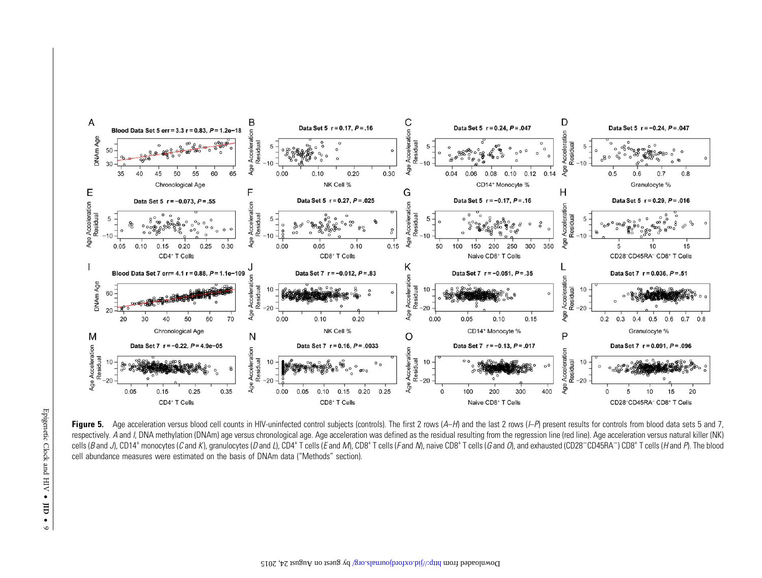<span id="page-8-0"></span>

Figure 5. Age acceleration versus blood cell counts in HIV-uninfected control subjects (controls). The first 2 rows  $(A-H)$  and the last 2 rows  $(HP)$  present results for controls from blood data sets 5 and 7, respectively. A and I, DNA methylation (DNAm) age versus chronological age. Age acceleration was defined as the residual resulting from the regression line (red line). Age acceleration versus natural killer (NK) cells (B and J), CD14<sup>+</sup> monocytes (C and K), granulocytes (D and L), CD4<sup>+</sup> T cells (E and M), CD8<sup>+</sup> T cells (F and N), naive CD8<sup>+</sup> T cells (G and O), and exhausted (CD28<sup>-</sup>CD45RA<sup>-</sup>) CD8<sup>+</sup> T cells (H and P). The bloo cell abundance measures were estimated on the basis of DNAm data ("Methods" section).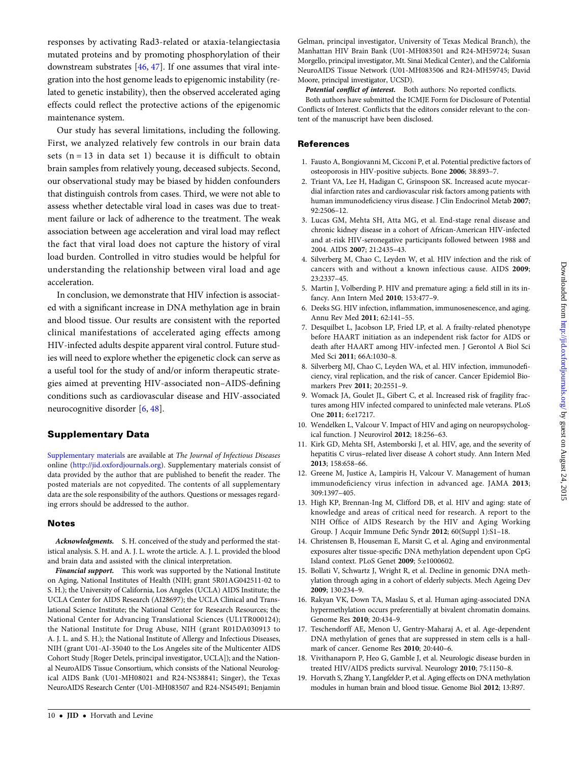<span id="page-9-0"></span>responses by activating Rad3-related or ataxia-telangiectasia mutated proteins and by promoting phosphorylation of their downstream substrates [[46,](#page-10-0) [47](#page-10-0)]. If one assumes that viral integration into the host genome leads to epigenomic instability (related to genetic instability), then the observed accelerated aging effects could reflect the protective actions of the epigenomic maintenance system.

Our study has several limitations, including the following. First, we analyzed relatively few controls in our brain data sets  $(n = 13$  in data set 1) because it is difficult to obtain brain samples from relatively young, deceased subjects. Second, our observational study may be biased by hidden confounders that distinguish controls from cases. Third, we were not able to assess whether detectable viral load in cases was due to treatment failure or lack of adherence to the treatment. The weak association between age acceleration and viral load may reflect the fact that viral load does not capture the history of viral load burden. Controlled in vitro studies would be helpful for understanding the relationship between viral load and age acceleration.

In conclusion, we demonstrate that HIV infection is associated with a significant increase in DNA methylation age in brain and blood tissue. Our results are consistent with the reported clinical manifestations of accelerated aging effects among HIV-infected adults despite apparent viral control. Future studies will need to explore whether the epigenetic clock can serve as a useful tool for the study of and/or inform therapeutic strategies aimed at preventing HIV-associated non–AIDS-defining conditions such as cardiovascular disease and HIV-associated neurocognitive disorder [6, [48\]](#page-10-0).

#### Supplementary Data

[Supplementary materials](http://jid.oxfordjournals.org/lookup/suppl/doi:10.1093/infdis/jiv277/-/DC1) are available at The Journal of Infectious Diseases online (<http://jid.oxfordjournals.org>). Supplementary materials consist of data provided by the author that are published to benefit the reader. The posted materials are not copyedited. The contents of all supplementary data are the sole responsibility of the authors. Questions or messages regarding errors should be addressed to the author.

#### Notes

Acknowledgments. S. H. conceived of the study and performed the statistical analysis. S. H. and A. J. L. wrote the article. A. J. L. provided the blood and brain data and assisted with the clinical interpretation.

Financial support. This work was supported by the National Institute on Aging, National Institutes of Health (NIH; grant 5R01AG042511-02 to S. H.); the University of California, Los Angeles (UCLA) AIDS Institute; the UCLA Center for AIDS Research (AI28697); the UCLA Clinical and Translational Science Institute; the National Center for Research Resources; the National Center for Advancing Translational Sciences (UL1TR000124); the National Institute for Drug Abuse, NIH (grant R01DA030913 to A. J. L. and S. H.); the National Institute of Allergy and Infectious Diseases, NIH (grant U01-AI-35040 to the Los Angeles site of the Multicenter AIDS Cohort Study [Roger Detels, principal investigator, UCLA]); and the National NeuroAIDS Tissue Consortium, which consists of the National Neurological AIDS Bank (U01-MH08021 and R24-NS38841; Singer), the Texas NeuroAIDS Research Center (U01-MH083507 and R24-NS45491; Benjamin

Gelman, principal investigator, University of Texas Medical Branch), the Manhattan HIV Brain Bank (U01-MH083501 and R24-MH59724; Susan Morgello, principal investigator, Mt. Sinai Medical Center), and the California NeuroAIDS Tissue Network (U01-MH083506 and R24-MH59745; David Moore, principal investigator, UCSD).

Potential conflict of interest. Both authors: No reported conflicts.

Both authors have submitted the ICMJE Form for Disclosure of Potential Conflicts of Interest. Conflicts that the editors consider relevant to the content of the manuscript have been disclosed.

#### **References**

- 1. Fausto A, Bongiovanni M, Cicconi P, et al. Potential predictive factors of osteoporosis in HIV-positive subjects. Bone 2006; 38:893–7.
- 2. Triant VA, Lee H, Hadigan C, Grinspoon SK. Increased acute myocardial infarction rates and cardiovascular risk factors among patients with human immunodeficiency virus disease. J Clin Endocrinol Metab 2007; 92:2506–12.
- 3. Lucas GM, Mehta SH, Atta MG, et al. End-stage renal disease and chronic kidney disease in a cohort of African-American HIV-infected and at-risk HIV-seronegative participants followed between 1988 and 2004. AIDS 2007; 21:2435–43.
- 4. Silverberg M, Chao C, Leyden W, et al. HIV infection and the risk of cancers with and without a known infectious cause. AIDS 2009; 23:2337–45.
- 5. Martin J, Volberding P. HIV and premature aging: a field still in its infancy. Ann Intern Med 2010; 153:477–9.
- 6. Deeks SG. HIV infection, inflammation, immunosenescence, and aging. Annu Rev Med 2011; 62:141–55.
- 7. Desquilbet L, Jacobson LP, Fried LP, et al. A frailty-related phenotype before HAART initiation as an independent risk factor for AIDS or death after HAART among HIV-infected men. J Gerontol A Biol Sci Med Sci 2011; 66A:1030–8.
- 8. Silverberg MJ, Chao C, Leyden WA, et al. HIV infection, immunodeficiency, viral replication, and the risk of cancer. Cancer Epidemiol Biomarkers Prev 2011; 20:2551–9.
- 9. Womack JA, Goulet JL, Gibert C, et al. Increased risk of fragility fractures among HIV infected compared to uninfected male veterans. PLoS One 2011; 6:e17217.
- 10. Wendelken L, Valcour V. Impact of HIV and aging on neuropsychological function. J Neurovirol 2012; 18:256–63.
- 11. Kirk GD, Mehta SH, Astemborski J, et al. HIV, age, and the severity of hepatitis C virus–related liver disease A cohort study. Ann Intern Med 2013; 158:658–66.
- 12. Greene M, Justice A, Lampiris H, Valcour V. Management of human immunodeficiency virus infection in advanced age. JAMA 2013; 309:1397–405.
- 13. High KP, Brennan-Ing M, Clifford DB, et al. HIV and aging: state of knowledge and areas of critical need for research. A report to the NIH Office of AIDS Research by the HIV and Aging Working Group. J Acquir Immune Defic Syndr 2012; 60(Suppl 1):S1–18.
- 14. Christensen B, Houseman E, Marsit C, et al. Aging and environmental exposures alter tissue-specific DNA methylation dependent upon CpG Island context. PLoS Genet 2009; 5:e1000602.
- 15. Bollati V, Schwartz J, Wright R, et al. Decline in genomic DNA methylation through aging in a cohort of elderly subjects. Mech Ageing Dev 2009; 130:234–9.
- 16. Rakyan VK, Down TA, Maslau S, et al. Human aging-associated DNA hypermethylation occurs preferentially at bivalent chromatin domains. Genome Res 2010; 20:434–9.
- 17. Teschendorff AE, Menon U, Gentry-Maharaj A, et al. Age-dependent DNA methylation of genes that are suppressed in stem cells is a hallmark of cancer. Genome Res 2010; 20:440–6.
- 18. Vivithanaporn P, Heo G, Gamble J, et al. Neurologic disease burden in treated HIV/AIDS predicts survival. Neurology 2010; 75:1150–8.
- 19. Horvath S, Zhang Y, Langfelder P, et al. Aging effects on DNA methylation modules in human brain and blood tissue. Genome Biol 2012; 13:R97.